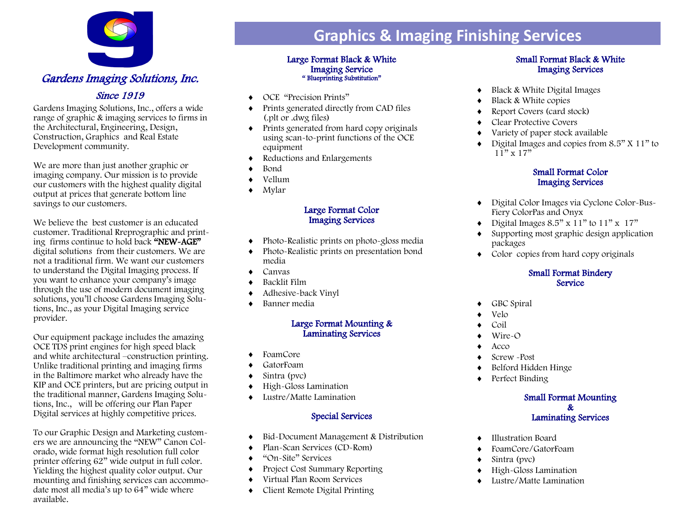

Gardens Imaging Solutions, Inc., offers a wide range of graphic & imaging services to firms in the Architectural, Engineering, Design, Construction, Graphics and Real Estate Development community.

We are more than just another graphic or imaging company. Our mission is to provide our customers with the highest quality digital output at prices that generate bottom line savings to our customers.

We believe the best customer is an educated customer. Traditional Rreprographic and printing firms continue to hold back "NEW-AGE" digital solutions from their customers. We are not a traditional firm. We want our customers to understand the Digital Imaging process. If you want to enhance your company's image through the use of modern document imaging solutions, you'll choose Gardens Imaging Solutions, Inc., as your Digital Imaging service provider.

Our equipment package includes the amazing OCE TDS print engines for high speed black and white architectural –construction printing. Unlike traditional printing and imaging firms in the Baltimore market who already have the KIP and OCE printers, but are pricing output in the traditional manner, Gardens Imaging Solutions, Inc., will be offering our Plan Paper Digital services at highly competitive prices.

To our Graphic Design and Marketing customers we are announcing the "NEW" Canon Colorado, wide format high resolution full color printer offering 62" wide output in full color. Yielding the highest quality color output. Our mounting and finishing services can accommodate most all media's up to 64" wide where available.

## **Graphics & Imaging Finishing Services**

#### Large Format Black & White Imaging Service " Blueprinting Substitution"

- OCE "Precision Prints"
- Prints generated directly from CAD files (.plt or .dwg files)
- $\bullet$  Prints generated from hard copy originals using scan-to-print functions of the OCE equipment
- Reductions and Enlargements
- Bond
- Vellum
- Mylar

#### Large Format Color Imaging Services

- Photo-Realistic prints on photo-gloss media
- Photo-Realistic prints on presentation bond media
- Canvas
- Backlit Film
- Adhesive-back Vinyl
- ◆ Banner media

### Large Format Mounting & Laminating Services

- ◆ FoamCore
- GatorFoam
- Sintra (pvc)
- High-Gloss Lamination
- Lustre/Matte Lamination

## Special Services

- Bid-Document Management & Distribution
- Plan-Scan Services (CD-Rom)
- ◆ "On-Site" Services
- Project Cost Summary Reporting
- Virtual Plan Room Services
- Client Remote Digital Printing

### Small Format Black & White Imaging Services

- Black & White Digital Images
- ◆ Black & White copies
- Report Covers (card stock)
- Clear Protective Covers
- Variety of paper stock available
- $\bullet$  Digital Images and copies from 8.5" X 11" to  $11"$  x  $17"$

### Small Format Color Imaging Services

- Digital Color Images via Cyclone Color-Bus-Fiery ColorPas and Onyx
- $\bullet$  Digital Images 8.5" x 11" to 11" x 17"
- Supporting most graphic design application packages
- Color copies from hard copy originals

### Small Format Bindery **Service**

- ◆ GBC Spiral
- Velo
- Coil
- Wire-O
- $\triangle$  Acco
- Screw -Post
- Belford Hidden Hinge
- ◆ Perfect Binding

#### Small Format Mounting & Laminating Services

- Illustration Board
- FoamCore/GatorFoam
- ◆ Sintra (pvc)
- High-Gloss Lamination
- Lustre/Matte Lamination